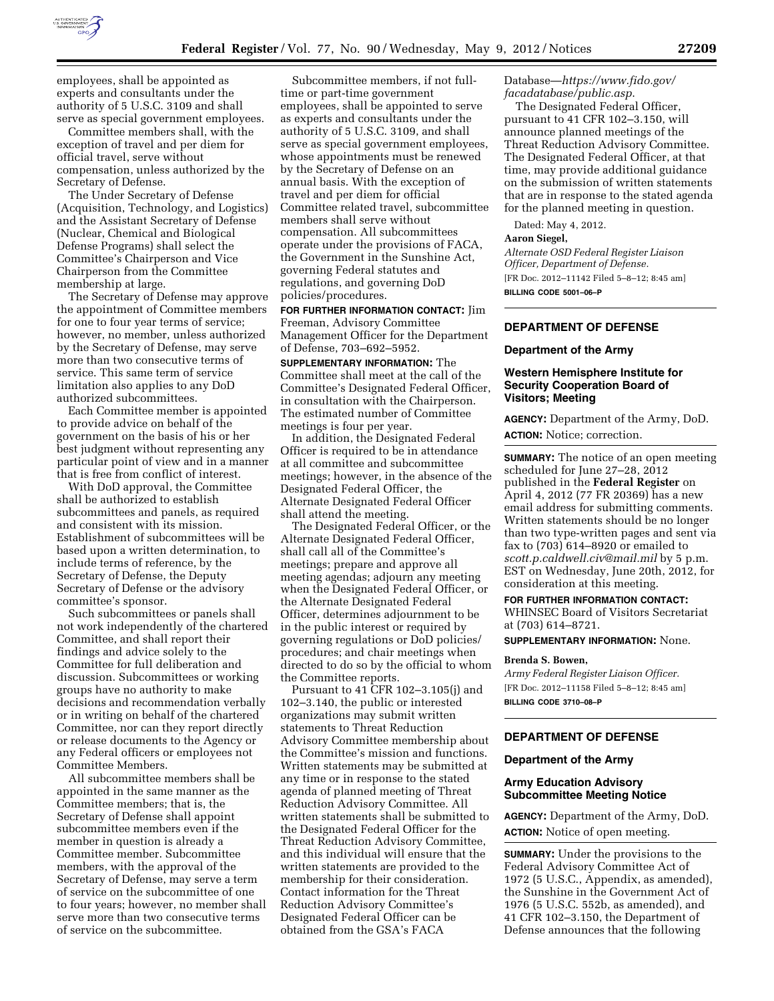

Committee members shall, with the exception of travel and per diem for official travel, serve without compensation, unless authorized by the Secretary of Defense.

The Under Secretary of Defense (Acquisition, Technology, and Logistics) and the Assistant Secretary of Defense (Nuclear, Chemical and Biological Defense Programs) shall select the Committee's Chairperson and Vice Chairperson from the Committee membership at large.

The Secretary of Defense may approve the appointment of Committee members for one to four year terms of service; however, no member, unless authorized by the Secretary of Defense, may serve more than two consecutive terms of service. This same term of service limitation also applies to any DoD authorized subcommittees.

Each Committee member is appointed to provide advice on behalf of the government on the basis of his or her best judgment without representing any particular point of view and in a manner that is free from conflict of interest.

With DoD approval, the Committee shall be authorized to establish subcommittees and panels, as required and consistent with its mission. Establishment of subcommittees will be based upon a written determination, to include terms of reference, by the Secretary of Defense, the Deputy Secretary of Defense or the advisory committee's sponsor.

Such subcommittees or panels shall not work independently of the chartered Committee, and shall report their findings and advice solely to the Committee for full deliberation and discussion. Subcommittees or working groups have no authority to make decisions and recommendation verbally or in writing on behalf of the chartered Committee, nor can they report directly or release documents to the Agency or any Federal officers or employees not Committee Members.

All subcommittee members shall be appointed in the same manner as the Committee members; that is, the Secretary of Defense shall appoint subcommittee members even if the member in question is already a Committee member. Subcommittee members, with the approval of the Secretary of Defense, may serve a term of service on the subcommittee of one to four years; however, no member shall serve more than two consecutive terms of service on the subcommittee.

Subcommittee members, if not fulltime or part-time government employees, shall be appointed to serve as experts and consultants under the authority of 5 U.S.C. 3109, and shall serve as special government employees, whose appointments must be renewed by the Secretary of Defense on an annual basis. With the exception of travel and per diem for official Committee related travel, subcommittee members shall serve without compensation. All subcommittees operate under the provisions of FACA, the Government in the Sunshine Act, governing Federal statutes and regulations, and governing DoD policies/procedures.

**FOR FURTHER INFORMATION CONTACT:** Jim Freeman, Advisory Committee Management Officer for the Department of Defense, 703–692–5952.

**SUPPLEMENTARY INFORMATION:** The Committee shall meet at the call of the Committee's Designated Federal Officer, in consultation with the Chairperson. The estimated number of Committee meetings is four per year.

In addition, the Designated Federal Officer is required to be in attendance at all committee and subcommittee meetings; however, in the absence of the Designated Federal Officer, the Alternate Designated Federal Officer shall attend the meeting.

The Designated Federal Officer, or the Alternate Designated Federal Officer, shall call all of the Committee's meetings; prepare and approve all meeting agendas; adjourn any meeting when the Designated Federal Officer, or the Alternate Designated Federal Officer, determines adjournment to be in the public interest or required by governing regulations or DoD policies/ procedures; and chair meetings when directed to do so by the official to whom the Committee reports.

Pursuant to 41 CFR 102–3.105(j) and 102–3.140, the public or interested organizations may submit written statements to Threat Reduction Advisory Committee membership about the Committee's mission and functions. Written statements may be submitted at any time or in response to the stated agenda of planned meeting of Threat Reduction Advisory Committee. All written statements shall be submitted to the Designated Federal Officer for the Threat Reduction Advisory Committee, and this individual will ensure that the written statements are provided to the membership for their consideration. Contact information for the Threat Reduction Advisory Committee's Designated Federal Officer can be obtained from the GSA's FACA

Database—*[https://www.fido.gov/](https://www.fido.gov/facadatabase/public.asp) [facadatabase/public.asp](https://www.fido.gov/facadatabase/public.asp)*.

The Designated Federal Officer, pursuant to 41 CFR 102–3.150, will announce planned meetings of the Threat Reduction Advisory Committee. The Designated Federal Officer, at that time, may provide additional guidance on the submission of written statements that are in response to the stated agenda for the planned meeting in question.

Dated: May 4, 2012.

#### **Aaron Siegel,**

*Alternate OSD Federal Register Liaison Officer, Department of Defense.*  [FR Doc. 2012–11142 Filed 5–8–12; 8:45 am]

**BILLING CODE 5001–06–P** 

### **DEPARTMENT OF DEFENSE**

#### **Department of the Army**

## **Western Hemisphere Institute for Security Cooperation Board of Visitors; Meeting**

**AGENCY:** Department of the Army, DoD. **ACTION:** Notice; correction.

**SUMMARY:** The notice of an open meeting scheduled for June 27–28, 2012 published in the **Federal Register** on April 4, 2012 (77 FR 20369) has a new email address for submitting comments. Written statements should be no longer than two type-written pages and sent via fax to (703) 614–8920 or emailed to *[scott.p.caldwell.civ@mail.mil](mailto:scott.p.caldwell.civ@mail.mil)* by 5 p.m. EST on Wednesday, June 20th, 2012, for consideration at this meeting.

**FOR FURTHER INFORMATION CONTACT:** 

WHINSEC Board of Visitors Secretariat at (703) 614–8721.

**SUPPLEMENTARY INFORMATION:** None.

#### **Brenda S. Bowen,**

*Army Federal Register Liaison Officer.*  [FR Doc. 2012–11158 Filed 5–8–12; 8:45 am] **BILLING CODE 3710–08–P** 

# **DEPARTMENT OF DEFENSE**

#### **Department of the Army**

## **Army Education Advisory Subcommittee Meeting Notice**

**AGENCY:** Department of the Army, DoD. **ACTION:** Notice of open meeting.

**SUMMARY:** Under the provisions to the Federal Advisory Committee Act of 1972 (5 U.S.C., Appendix, as amended), the Sunshine in the Government Act of 1976 (5 U.S.C. 552b, as amended), and 41 CFR 102–3.150, the Department of Defense announces that the following